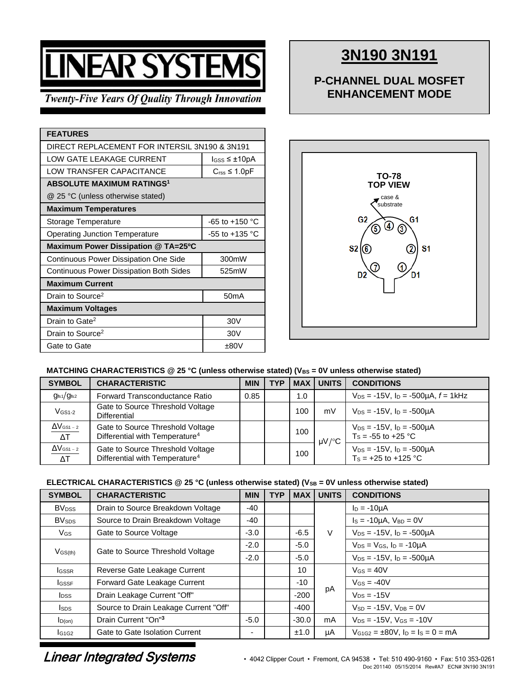# **INEAR SYSTEM**

# **Twenty-Five Years Of Quality Through Innovation**

| <b>FEATURES</b>                                |                              |  |  |  |  |  |
|------------------------------------------------|------------------------------|--|--|--|--|--|
| DIRECT REPLACEMENT FOR INTERSIL 3N190 & 3N191  |                              |  |  |  |  |  |
| LOW GATE LEAKAGE CURRENT                       | $loss \leq \pm 10pA$         |  |  |  |  |  |
| LOW TRANSFER CAPACITANCE                       | $C_{\text{rss}} \leq 1.0$ pF |  |  |  |  |  |
| <b>ABSOLUTE MAXIMUM RATINGS<sup>1</sup></b>    |                              |  |  |  |  |  |
| @ 25 °C (unless otherwise stated)              |                              |  |  |  |  |  |
| <b>Maximum Temperatures</b>                    |                              |  |  |  |  |  |
| Storage Temperature                            | $-65$ to $+150$ °C           |  |  |  |  |  |
| <b>Operating Junction Temperature</b>          | $-55$ to $+135$ °C           |  |  |  |  |  |
| Maximum Power Dissipation @ TA=25°C            |                              |  |  |  |  |  |
| <b>Continuous Power Dissipation One Side</b>   | 300mW                        |  |  |  |  |  |
| <b>Continuous Power Dissipation Both Sides</b> | 525mW                        |  |  |  |  |  |
| <b>Maximum Current</b>                         |                              |  |  |  |  |  |
| Drain to Source <sup>2</sup>                   | 50mA                         |  |  |  |  |  |
| <b>Maximum Voltages</b>                        |                              |  |  |  |  |  |
| Drain to Gate <sup>2</sup>                     | 30V                          |  |  |  |  |  |
| Drain to Source <sup>2</sup>                   | 30 <sub>V</sub>              |  |  |  |  |  |
| Gate to Gate                                   | ±80V                         |  |  |  |  |  |

# **3N190 3N191**

# **P-CHANNEL DUAL MOSFET ENHANCEMENT MODE**



## MATCHING CHARACTERISTICS @ 25 °C (unless otherwise stated) (V<sub>BS</sub> = 0V unless otherwise stated)

| <b>SYMBOL</b>                               | <b>CHARACTERISTIC</b>                                                          | <b>MIN</b> | TYP | <b>MAX</b> | <b>UNITS</b> | <b>CONDITIONS</b>                                               |
|---------------------------------------------|--------------------------------------------------------------------------------|------------|-----|------------|--------------|-----------------------------------------------------------------|
| g <sub>fs1</sub> /g <sub>fs2</sub>          | Forward Transconductance Ratio                                                 | 0.85       |     | 1.0        |              | $V_{DS}$ = -15V, $I_D$ = -500 $\mu$ A, $f$ = 1kHz               |
| $V$ <sub>GS1-2</sub>                        | Gate to Source Threshold Voltage<br>Differential                               |            |     | 100        | mV           | $V_{DS} = -15V$ , $I_D = -500 \mu A$                            |
| $\Delta V$ gs1 – 2<br>$\overline{\Delta T}$ | Gate to Source Threshold Voltage<br>Differential with Temperature <sup>4</sup> |            |     | 100        | $\mu$ V/°C   | $V_{DS} = -15V$ , $I_D = -500\mu A$<br>$Ts = -55$ to $+25$ °C   |
| $\Delta V$ gs1 – 2<br>$\Delta T$            | Gate to Source Threshold Voltage<br>Differential with Temperature <sup>4</sup> |            |     | 100        |              | $V_{DS} = -15V$ , $I_D = -500\mu A$<br>$T_s = +25$ to $+125$ °C |

## **ELECTRICAL CHARACTERISTICS @ 25 °C (unless otherwise stated) (VSB = 0V unless otherwise stated)**

| <b>SYMBOL</b>            | <b>CHARACTERISTIC</b>                 | <b>MIN</b> | <b>TYP</b> | <b>MAX</b> | <b>UNITS</b> | <b>CONDITIONS</b>                           |
|--------------------------|---------------------------------------|------------|------------|------------|--------------|---------------------------------------------|
| <b>BV</b> <sub>DSS</sub> | Drain to Source Breakdown Voltage     | -40        |            |            |              | $I_D = -10\mu A$                            |
| <b>BV</b> sps            | Source to Drain Breakdown Voltage     | -40        |            |            | $\vee$       | $Is = -10\mu A$ , $V_{BD} = 0V$             |
| VGS                      | Gate to Source Voltage                | $-3.0$     |            | $-6.5$     |              | $V_{DS} = -15V$ , $I_D = -500\mu A$         |
|                          |                                       | $-2.0$     |            | $-5.0$     |              | $V_{DS} = V_{GS}$ , $I_D = -10\mu A$        |
| $V$ <sub>GS(th)</sub>    | Gate to Source Threshold Voltage      | $-2.0$     |            | $-5.0$     |              | $V_{DS} = -15V$ , $I_D = -500\mu A$         |
| <b>I</b> GSSR            | Reverse Gate Leakage Current          |            |            | 10         |              | $V_{GS} = 40V$                              |
| <b>I</b> GSSF            | Forward Gate Leakage Current          |            |            | $-10$      |              | $V$ <sub>GS</sub> = -40V                    |
| <b>I</b> <sub>pss</sub>  | Drain Leakage Current "Off"           |            |            | $-200$     | рA           | $V_{DS} = -15V$                             |
| <b>I</b> sps             | Source to Drain Leakage Current "Off" |            |            | $-400$     |              | $V_{SD} = -15V$ , $V_{DB} = 0V$             |
| $I_{D(on)}$              | Drain Current "On" <sup>3</sup>       | $-5.0$     |            | $-30.0$    | mA           | $V_{DS} = -15V$ , $V_{GS} = -10V$           |
| IG1G2                    | Gate to Gate Isolation Current        | -          |            | ±1.0       | μA           | $V_{G1G2} = \pm 80V$ , $I_D = I_S = 0 = mA$ |